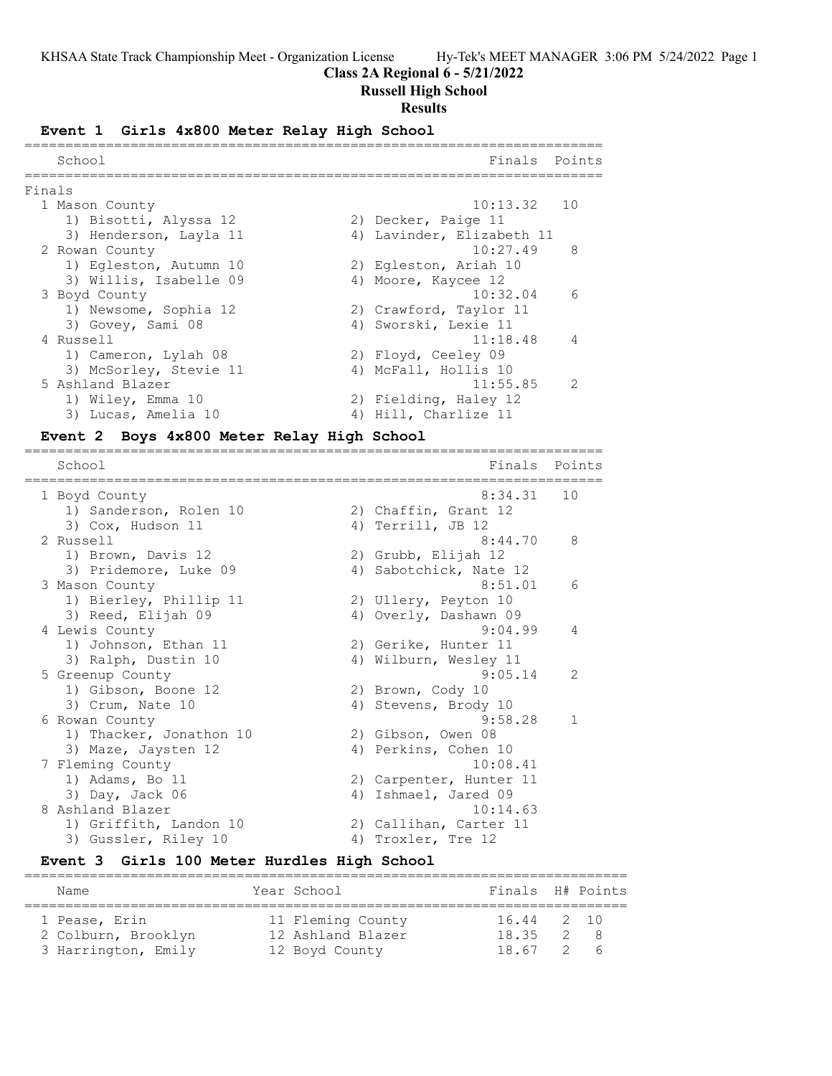### **Class 2A Regional 6 - 5/21/2022**

### **Russell High School**

#### **Results**

#### **Event 1 Girls 4x800 Meter Relay High School**

|        | School                 | Finals                    | Points         |
|--------|------------------------|---------------------------|----------------|
| Finals |                        |                           |                |
|        | 1 Mason County         | 10:13.32 10               |                |
|        | 1) Bisotti, Alyssa 12  | 2) Decker, Paige 11       |                |
|        | 3) Henderson, Layla 11 | 4) Lavinder, Elizabeth 11 |                |
|        | 2 Rowan County         | 10:27.49                  | - 8            |
|        | 1) Eqleston, Autumn 10 | 2) Egleston, Ariah 10     |                |
|        | 3) Willis, Isabelle 09 | 4) Moore, Kaycee 12       |                |
|        | 3 Boyd County          | 10:32.04                  | - 6            |
|        | 1) Newsome, Sophia 12  | 2) Crawford, Taylor 11    |                |
|        | 3) Govey, Sami 08      | 4) Sworski, Lexie 11      |                |
|        | 4 Russell              | 11:18.48                  | $\overline{4}$ |
|        | 1) Cameron, Lylah 08   | 2) Floyd, Ceeley 09       |                |
|        | 3) McSorley, Stevie 11 | 4) McFall, Hollis 10      |                |
|        | 5 Ashland Blazer       | 11:55.85                  | $\mathcal{L}$  |
|        | 1) Wiley, Emma 10      | 2) Fielding, Haley 12     |                |
|        | 3) Lucas, Amelia 10    | 4) Hill, Charlize 11      |                |
|        |                        |                           |                |

=======================================================================

### **Event 2 Boys 4x800 Meter Relay High School**

School Finals Points ======================================================================= 1 Boyd County 8:34.31 10 1) Sanderson, Rolen 10 2) Chaffin, Grant 12 3) Cox, Hudson 11 4) Terrill, JB 12 2 Russell 8:44.70 8 1) Brown, Davis 12 2) Grubb, Elijah 12 3) Pridemore, Luke 09 4) Sabotchick, Nate 12 3 Mason County 6:51.01 6 1) Bierley, Phillip 11 2) Ullery, Peyton 10 3) Reed, Elijah 09 4) Overly, Dashawn 09 4 Lewis County 9:04.99 4 1) Johnson, Ethan 11 2) Gerike, Hunter 11 3) Ralph, Dustin 10 4) Wilburn, Wesley 11 5 Greenup County 9:05.14 2 1) Gibson, Boone 12 2) Brown, Cody 10 3) Crum, Nate 10 4) Stevens, Brody 10 6 Rowan County 9:58.28 1 1) Thacker, Jonathon 10 2) Gibson, Owen 08 3) Maze, Jaysten 12 (4) Perkins, Cohen 10 7 Fleming County 10:08.41 1) Adams, Bo 11 2) Carpenter, Hunter 11 3) Day, Jack 06 4) Ishmael, Jared 09 8 Ashland Blazer 10:14.63 1) Griffith, Landon 10 2) Callihan, Carter 11 3) Gussler, Riley 10 4) Troxler, Tre 12

#### **Event 3 Girls 100 Meter Hurdles High School**  $=$

| Name                                 | Year School                            | Finals H# Points    |     |
|--------------------------------------|----------------------------------------|---------------------|-----|
| 1 Pease, Erin<br>2 Colburn, Brooklyn | 11 Fleming County<br>12 Ashland Blazer | 16.44 2 10<br>18.35 | 2 R |
| 3 Harrington, Emily                  | 12 Boyd County                         | 18.67 2             | а   |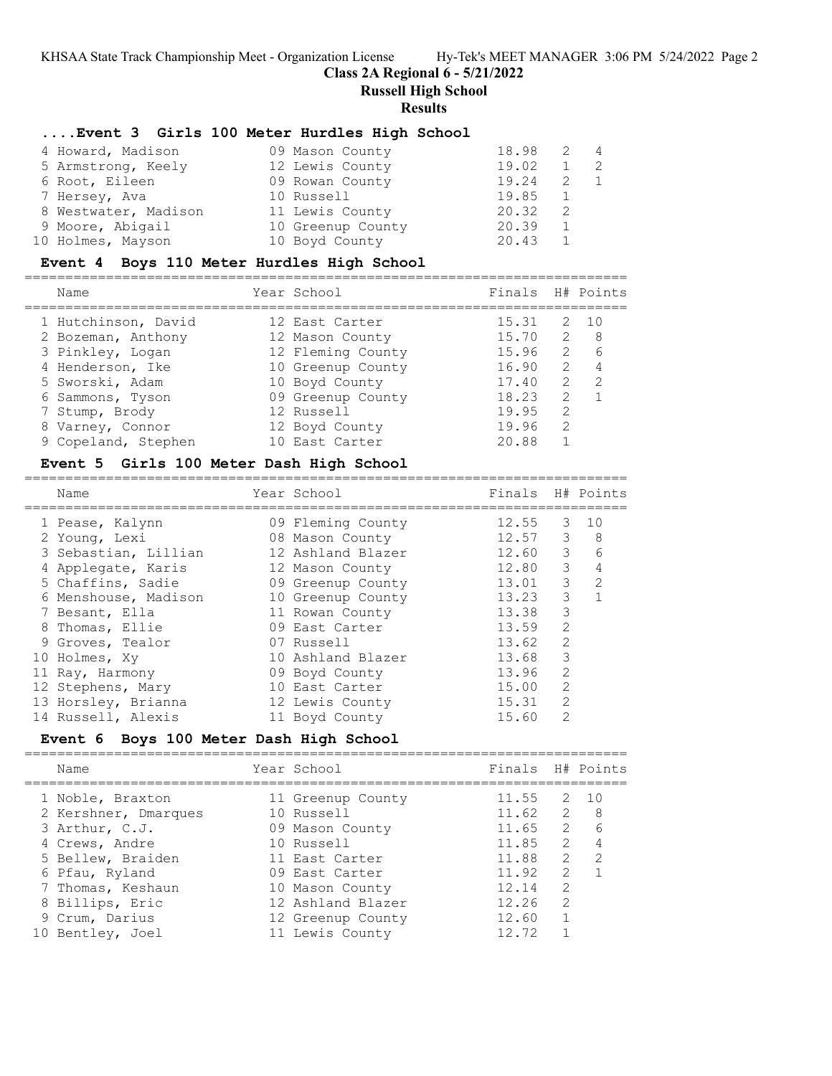# **Class 2A Regional 6 - 5/21/2022**

**Russell High School**

### **Results**

# **....Event 3 Girls 100 Meter Hurdles High School**

| 4 Howard, Madison    | 09 Mason County   | 18.98 | $\overline{4}$ |
|----------------------|-------------------|-------|----------------|
| 5 Armstrong, Keely   | 12 Lewis County   | 19.02 | - 2.           |
| 6 Root, Eileen       | 09 Rowan County   | 19.24 |                |
| 7 Hersey, Ava        | 10 Russell        | 19.85 |                |
| 8 Westwater, Madison | 11 Lewis County   | 20.32 |                |
| 9 Moore, Abigail     | 10 Greenup County | 20.39 |                |
| 10 Holmes, Mayson    | 10 Boyd County    | 20.43 |                |

### **Event 4 Boys 110 Meter Hurdles High School**

==========================================================================

| Name                | Year School       | Finals H# Points |               |               |
|---------------------|-------------------|------------------|---------------|---------------|
| 1 Hutchinson, David | 12 East Carter    | 15.31            |               | 2 10          |
| 2 Bozeman, Anthony  | 12 Mason County   | 15.70            | 2             | - 8           |
| 3 Pinkley, Logan    | 12 Fleming County | 15.96            | 2             | 6             |
| 4 Henderson, Ike    | 10 Greenup County | 16.90            | 2             | 4             |
| 5 Sworski, Adam     | 10 Boyd County    | 17.40            | 2             | $\mathcal{P}$ |
| 6 Sammons, Tyson    | 09 Greenup County | 18.23            | $\mathcal{P}$ |               |
| 7 Stump, Brody      | 12 Russell        | 19.95            | 2             |               |
| 8 Varney, Connor    | 12 Boyd County    | 19.96            | $\mathcal{L}$ |               |
| 9 Copeland, Stephen | 10 East Carter    | 20.88            |               |               |
|                     |                   |                  |               |               |

### **Event 5 Girls 100 Meter Dash High School**

| Name |                                                                                                                                                                                                                                                                                            |                                                                                                                                                                                                                                                                                        |               |                                                                                    |
|------|--------------------------------------------------------------------------------------------------------------------------------------------------------------------------------------------------------------------------------------------------------------------------------------------|----------------------------------------------------------------------------------------------------------------------------------------------------------------------------------------------------------------------------------------------------------------------------------------|---------------|------------------------------------------------------------------------------------|
|      |                                                                                                                                                                                                                                                                                            |                                                                                                                                                                                                                                                                                        |               | 1 O                                                                                |
|      |                                                                                                                                                                                                                                                                                            |                                                                                                                                                                                                                                                                                        | 3             | 8                                                                                  |
|      |                                                                                                                                                                                                                                                                                            |                                                                                                                                                                                                                                                                                        | 3             | 6                                                                                  |
|      |                                                                                                                                                                                                                                                                                            | 12.80                                                                                                                                                                                                                                                                                  |               | $\overline{4}$                                                                     |
|      |                                                                                                                                                                                                                                                                                            | 13.01                                                                                                                                                                                                                                                                                  |               | $\mathcal{L}$                                                                      |
|      |                                                                                                                                                                                                                                                                                            | 13.23                                                                                                                                                                                                                                                                                  | 3             |                                                                                    |
|      |                                                                                                                                                                                                                                                                                            | 13.38                                                                                                                                                                                                                                                                                  | 3             |                                                                                    |
|      |                                                                                                                                                                                                                                                                                            | 13.59                                                                                                                                                                                                                                                                                  | 2             |                                                                                    |
|      |                                                                                                                                                                                                                                                                                            | 13.62                                                                                                                                                                                                                                                                                  | $\mathcal{L}$ |                                                                                    |
|      |                                                                                                                                                                                                                                                                                            | 13.68                                                                                                                                                                                                                                                                                  | 3             |                                                                                    |
|      |                                                                                                                                                                                                                                                                                            | 13.96                                                                                                                                                                                                                                                                                  | $\mathcal{L}$ |                                                                                    |
|      |                                                                                                                                                                                                                                                                                            | 15.00                                                                                                                                                                                                                                                                                  | 2             |                                                                                    |
|      |                                                                                                                                                                                                                                                                                            | 15.31                                                                                                                                                                                                                                                                                  | $\mathcal{L}$ |                                                                                    |
|      |                                                                                                                                                                                                                                                                                            | 15.60                                                                                                                                                                                                                                                                                  | $\mathcal{P}$ |                                                                                    |
|      | 1 Pease, Kalynn<br>2 Young, Lexi<br>3 Sebastian, Lillian<br>4 Applegate, Karis<br>5 Chaffins, Sadie<br>6 Menshouse, Madison<br>7 Besant, Ella<br>8 Thomas, Ellie<br>9 Groves, Tealor<br>10 Holmes, Xy<br>11 Ray, Harmony<br>12 Stephens, Mary<br>13 Horsley, Brianna<br>14 Russell, Alexis | Year School<br>09 Fleming County<br>08 Mason County<br>12 Ashland Blazer<br>12 Mason County<br>09 Greenup County<br>10 Greenup County<br>11 Rowan County<br>09 East Carter<br>07 Russell<br>10 Ashland Blazer<br>09 Boyd County<br>10 East Carter<br>12 Lewis County<br>11 Boyd County |               | Finals H# Points<br>12.55<br>3<br>12.57<br>12.60<br>$\mathcal{E}$<br>$\mathcal{E}$ |

# **Event 6 Boys 100 Meter Dash High School**

|  | Name                                     | Year School                          | Finals H# Points |                                |                     |
|--|------------------------------------------|--------------------------------------|------------------|--------------------------------|---------------------|
|  | 1 Noble, Braxton<br>2 Kershner, Dmarques | 11 Greenup County<br>10 Russell      | 11.55<br>11.62   | $\overline{2}$                 | 2 10<br>- 8         |
|  | 3 Arthur, C.J.                           | 09 Mason County                      | 11.65            |                                | $\overline{2}$<br>6 |
|  | 4 Crews, Andre                           | 10 Russell                           | 11.85            | $\mathcal{L}$<br>$\mathcal{L}$ | 4<br>$\mathcal{P}$  |
|  | 5 Bellew, Braiden<br>6 Pfau, Ryland      | 11 East Carter<br>09 East Carter     | 11.88<br>11.92   | $\mathcal{L}$                  |                     |
|  | 7 Thomas, Keshaun                        | 10 Mason County                      | 12.14            | $\mathcal{L}$                  |                     |
|  | 8 Billips, Eric                          | 12 Ashland Blazer                    | 12.26            | $\mathcal{P}$                  |                     |
|  | 9 Crum, Darius<br>10 Bentley, Joel       | 12 Greenup County<br>11 Lewis County | 12.60<br>12.72   |                                |                     |
|  |                                          |                                      |                  |                                |                     |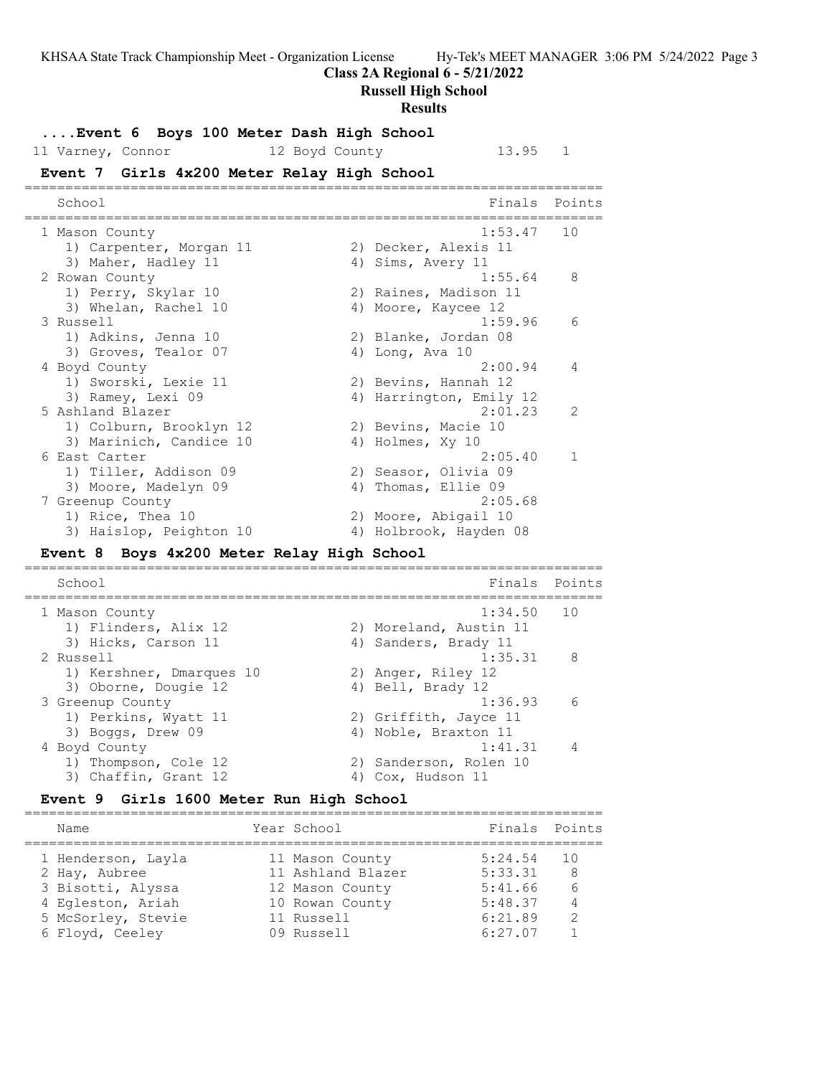**Class 2A Regional 6 - 5/21/2022**

**Russell High School**

#### **Results**

**....Event 6 Boys 100 Meter Dash High School** 11 Varney, Connor 12 Boyd County 13.95 1 **Event 7 Girls 4x200 Meter Relay High School** ======================================================================= School **Finals** Points ======================================================================= 1 Mason County 1:53.47 10 1) Carpenter, Morgan 11 (2) Decker, Alexis 11 3) Maher, Hadley 11 (4) A 4) Sims, Avery 11 2 Rowan County 2 2 Rowan County 2 2 Rowan County 1) Perry, Skylar 10 2) Raines, Madison 11 3) Whelan, Rachel 10 4) Moore, Kaycee 12 3 Russell 1:59.96 6 1) Adkins, Jenna 10 2) Blanke, Jordan 08 3) Groves, Tealor 07 (4) Long, Ava 10 4 Boyd County 2:00.94 4 1) Sworski, Lexie 11 2) Bevins, Hannah 12 3) Ramey, Lexi 09 14 4) Harrington, Emily 12 5 Ashland Blazer 2:01.23 2 1) Colburn, Brooklyn 12 2) Bevins, Macie 10 3) Marinich, Candice 10 4) Holmes, Xy 10 6 East Carter 2:05.40 1 1) Tiller, Addison 09 2) Seasor, Olivia 09 3) Moore, Madelyn 09 (4) Thomas, Ellie 09 7 Greenup County 2:05.68 1) Rice, Thea 10 2) Moore, Abigail 10 3) Haislop, Peighton 10 4) Holbrook, Hayden 08 **Event 8 Boys 4x200 Meter Relay High School** ======================================================================= School Finals Points

======================================================================= 1 Mason County 1:34.50 10 1) Flinders, Alix 12 2) Moreland, Austin 11 3) Hicks, Carson 11 (4) Sanders, Brady 11 2 Russell 1:35.31 8 1) Kershner, Dmarques 10  $\qquad \qquad$  2) Anger, Riley 12 3) Oborne, Dougie 12 (4) Bell, Brady 12 3 Greenup County 1:36.93 6 1) Perkins, Wyatt 11 and 2) Griffith, Jayce 11 3) Boggs, Drew 09 4) Noble, Braxton 11 4 Boyd County 1:41.31 4 1) Thompson, Cole 12 2) Sanderson, Rolen 10 3) Chaffin, Grant 12 4) Cox, Hudson 11

# **Event 9 Girls 1600 Meter Run High School**

======================================================================= Name The Year School Times Points Points ======================================================================= 1 Henderson, Layla 11 Mason County 5:24.54 10 2 Hay, Aubree 11 Ashland Blazer 5:33.31 8 3 Bisotti, Alyssa 12 Mason County 5:41.66 6 4 Egleston, Ariah 10 Rowan County 5:48.37 4 5 McSorley, Stevie 11 Russell 6:21.89 2 6 Floyd, Ceeley 09 Russell 6:27.07 1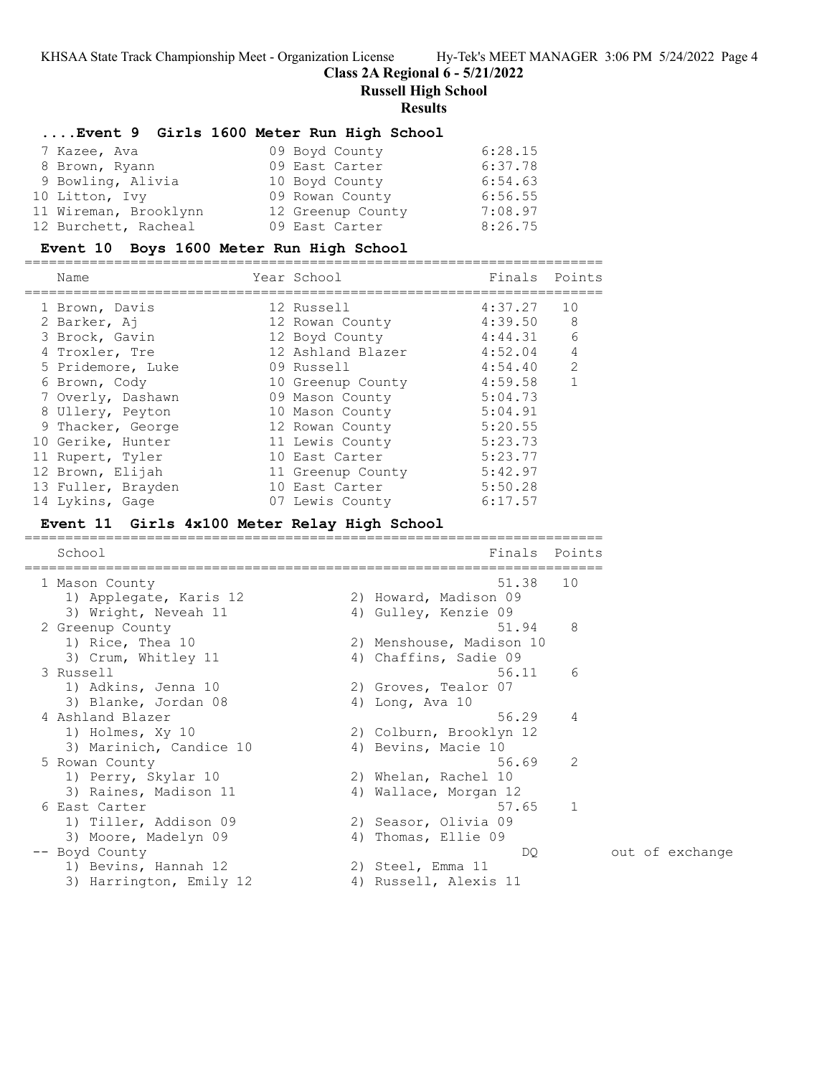**Class 2A Regional 6 - 5/21/2022**

**Russell High School**

#### **Results**

### **....Event 9 Girls 1600 Meter Run High School**

| 7 Kazee, Ava          | 09 Boyd County    | 6:28.15 |
|-----------------------|-------------------|---------|
| 8 Brown, Ryann        | 09 East Carter    | 6:37.78 |
| 9 Bowling, Alivia     | 10 Boyd County    | 6:54.63 |
| 10 Litton, Ivy        | 09 Rowan County   | 6:56.55 |
| 11 Wireman, Brooklynn | 12 Greenup County | 7:08.97 |
| 12 Burchett, Racheal  | 09 East Carter    | 8:26.75 |

#### **Event 10 Boys 1600 Meter Run High School**

| Name               | Year School       | Finals  | Points        |
|--------------------|-------------------|---------|---------------|
| 1 Brown, Davis     | 12 Russell        | 4:37.27 | 10            |
| 2 Barker, Aj       | 12 Rowan County   | 4:39.50 | 8             |
| 3 Brock, Gavin     | 12 Boyd County    | 4:44.31 | 6             |
| 4 Troxler, Tre     | 12 Ashland Blazer | 4:52.04 | 4             |
| 5 Pridemore, Luke  | 09 Russell        | 4:54.40 | $\mathcal{L}$ |
| 6 Brown, Cody      | 10 Greenup County | 4:59.58 |               |
| 7 Overly, Dashawn  | 09 Mason County   | 5:04.73 |               |
| 8 Ullery, Peyton   | 10 Mason County   | 5:04.91 |               |
| 9 Thacker, George  | 12 Rowan County   | 5:20.55 |               |
| 10 Gerike, Hunter  | 11 Lewis County   | 5:23.73 |               |
| 11 Rupert, Tyler   | 10 East Carter    | 5:23.77 |               |
| 12 Brown, Elijah   | 11 Greenup County | 5:42.97 |               |
| 13 Fuller, Brayden | 10 East Carter    | 5:50.28 |               |
| 14 Lykins, Gage    | 07 Lewis County   | 6:17.57 |               |
|                    |                   |         |               |

=======================================================================

#### **Event 11 Girls 4x100 Meter Relay High School**

School **Finals** Points ======================================================================= 1 Mason County 51.38 10 1) Applegate, Karis 12 2) Howard, Madison 09 3) Wright, Neveah 11 4) Gulley, Kenzie 09 2 Greenup County 51.94 8 1) Rice, Thea 10 2) Menshouse, Madison 10 3) Crum, Whitley 11 4) Chaffins, Sadie 09 3 Russell 56.11 6 1) Adkins, Jenna 10 2) Groves, Tealor 07 3) Blanke, Jordan 08 4) Long, Ava 10 4 Ashland Blazer 56.29 4 1) Holmes, Xy 10 2) Colburn, Brooklyn 12 3) Marinich, Candice 10 (4) Bevins, Macie 10 5 Rowan County 56.69 2 1) Perry, Skylar 10 2) Whelan, Rachel 10 3) Raines, Madison 11 4) Wallace, Morgan 12 6 East Carter 57.65 1 1) Tiller, Addison 09 2) Seasor, Olivia 09 3) Moore, Madelyn 09 4) Thomas, Ellie 09 -- Boyd County DQ out of exchange 1) Bevins, Hannah 12 (2) 2) Steel, Emma 11 3) Harrington, Emily 12 (4) Russell, Alexis 11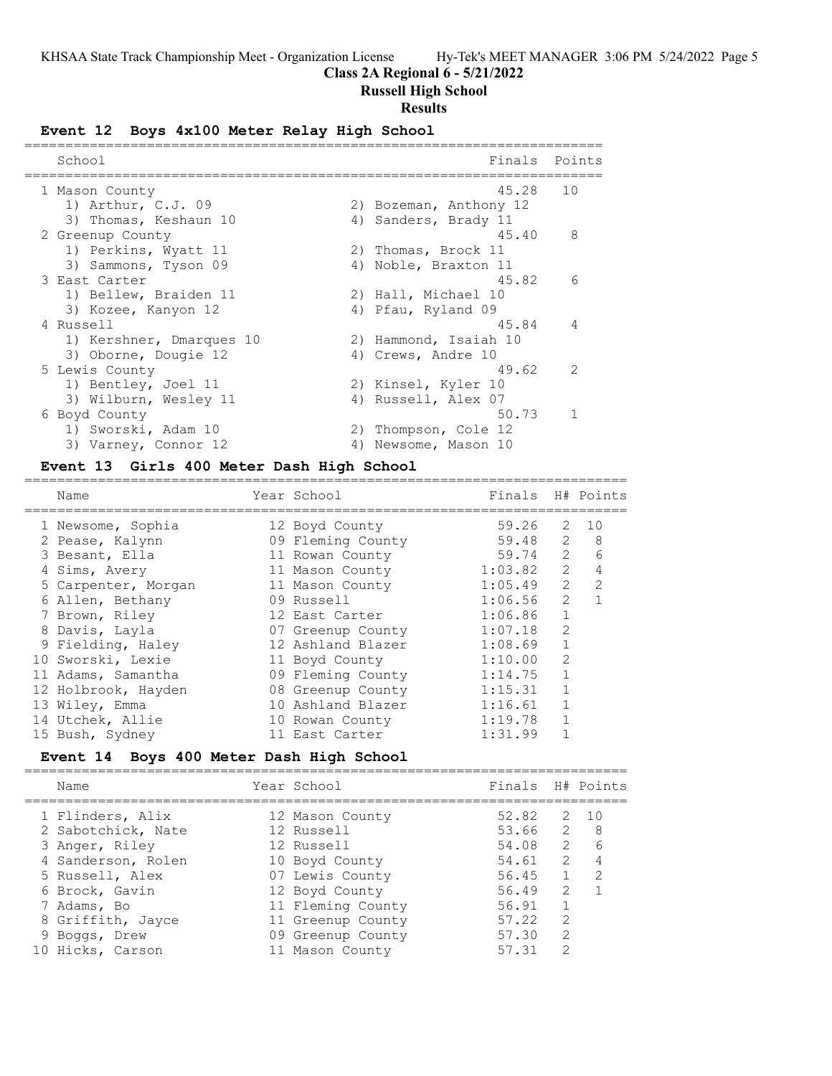# **Class 2A Regional 6 - 5/21/2022**

# **Russell High School**

# **Results**

# **Event 12 Boys 4x100 Meter Relay High School**

| School                   |    | Finals                 | Points         |
|--------------------------|----|------------------------|----------------|
| 1 Mason County           |    | 45.28                  | 10             |
| 1) Arthur, C.J. 09       |    | 2) Bozeman, Anthony 12 |                |
| 3) Thomas, Keshaun 10    |    | 4) Sanders, Brady 11   |                |
| 2 Greenup County         |    | 45.40                  | 8              |
| 1) Perkins, Wyatt 11     |    | 2) Thomas, Brock 11    |                |
| 3) Sammons, Tyson 09     |    | 4) Noble, Braxton 11   |                |
| 3 East Carter            |    | 45.82                  | -6             |
| 1) Bellew, Braiden 11    |    | 2) Hall, Michael 10    |                |
| 3) Kozee, Kanyon 12      |    | 4) Pfau, Ryland 09     |                |
| 4 Russell                |    | 45.84                  | $\overline{4}$ |
| 1) Kershner, Dmarques 10 |    | 2) Hammond, Isaiah 10  |                |
| 3) Oborne, Dougie 12     |    | 4) Crews, Andre 10     |                |
| 5 Lewis County           |    | 49.62                  | $\mathcal{L}$  |
| 1) Bentley, Joel 11      |    | 2) Kinsel, Kyler 10    |                |
| 3) Wilburn, Wesley 11    |    | 4) Russell, Alex 07    |                |
| 6 Boyd County            |    | 50.73                  | $\mathbf{1}$   |
| 1) Sworski, Adam 10      |    | 2) Thompson, Cole 12   |                |
| 3) Varney, Connor 12     | 4) | Newsome, Mason 10      |                |

# **Event 13 Girls 400 Meter Dash High School**

| Name                | Year School       | Finals H# Points |                |                |
|---------------------|-------------------|------------------|----------------|----------------|
| 1 Newsome, Sophia   | 12 Boyd County    | 59.26            | 2              | 10             |
| 2 Pease, Kalynn     | 09 Fleming County | 59.48            | 2              | 8              |
| 3 Besant, Ella      | 11 Rowan County   | 59.74            | 2              | 6              |
| 4 Sims, Avery       | 11 Mason County   | 1:03.82          | $\overline{2}$ | $\overline{4}$ |
| 5 Carpenter, Morgan | 11 Mason County   | 1:05.49          | $\overline{2}$ | $\mathcal{L}$  |
| 6 Allen, Bethany    | 09 Russell        | 1:06.56          | $\overline{2}$ | $\mathbf{1}$   |
| 7 Brown, Riley      | 12 East Carter    | 1:06.86          | $\mathbf{1}$   |                |
| 8 Davis, Layla      | 07 Greenup County | 1:07.18          | $\mathcal{L}$  |                |
| 9 Fielding, Haley   | 12 Ashland Blazer | 1:08.69          |                |                |
| 10 Sworski, Lexie   | 11 Boyd County    | 1:10.00          | $\mathcal{D}$  |                |
| 11 Adams, Samantha  | 09 Fleming County | 1:14.75          |                |                |
| 12 Holbrook, Hayden | 08 Greenup County | 1:15.31          |                |                |
| 13 Wiley, Emma      | 10 Ashland Blazer | 1:16.61          |                |                |
| 14 Utchek, Allie    | 10 Rowan County   | 1:19.78          |                |                |
| 15 Bush, Sydney     | 11 East Carter    | 1:31.99          |                |                |
|                     |                   |                  |                |                |

# **Event 14 Boys 400 Meter Dash High School**

|  | Name               | Year School       | Finals |               | H# Points     |
|--|--------------------|-------------------|--------|---------------|---------------|
|  | 1 Flinders, Alix   | 12 Mason County   | 52.82  | 2             | 10            |
|  | 2 Sabotchick, Nate | 12 Russell        | 53.66  | 2             | 8             |
|  | 3 Anger, Riley     | 12 Russell        | 54.08  | 2             | 6             |
|  | 4 Sanderson, Rolen | 10 Boyd County    | 54.61  | $\mathcal{P}$ |               |
|  | 5 Russell, Alex    | 07 Lewis County   | 56.45  |               | $\mathcal{L}$ |
|  | 6 Brock, Gavin     | 12 Boyd County    | 56.49  | $\mathcal{L}$ |               |
|  | 7 Adams, Bo        | 11 Fleming County | 56.91  |               |               |
|  | 8 Griffith, Jayce  | 11 Greenup County | 57.22  | $\mathcal{L}$ |               |
|  | 9 Boggs, Drew      | 09 Greenup County | 57.30  | $\mathcal{D}$ |               |
|  | 10 Hicks, Carson   | 11 Mason County   | 57.31  |               |               |
|  |                    |                   |        |               |               |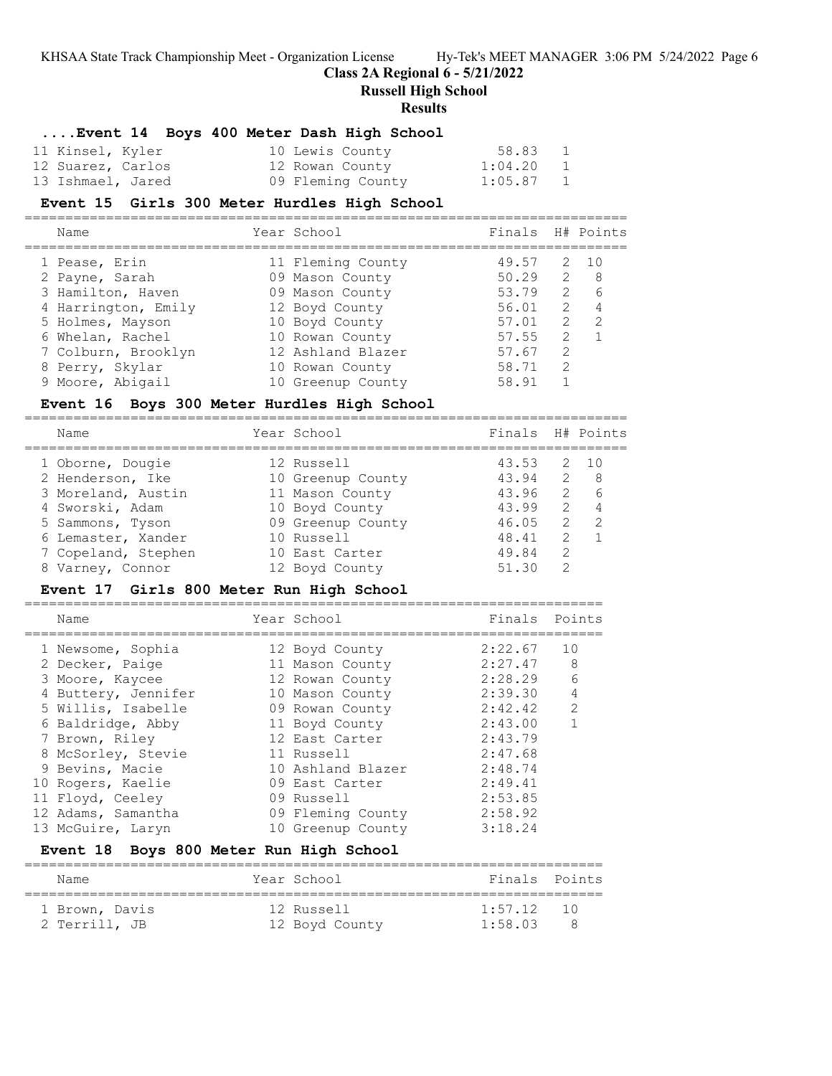# **Class 2A Regional 6 - 5/21/2022**

**Russell High School**

### **Results**

# **....Event 14 Boys 400 Meter Dash High School**

| 11 Kinsel, Kyler  |  | 10 Lewis County   | 58.83       | $\overline{1}$           |
|-------------------|--|-------------------|-------------|--------------------------|
| 12 Suarez, Carlos |  | 12 Rowan County   | 1:04.20     | $\overline{\phantom{0}}$ |
| 13 Ishmael, Jared |  | 09 Fleming County | $1:05.87$ 1 |                          |

# **Event 15 Girls 300 Meter Hurdles High School**

==========================================================================

| Name                | Year School       | Finals H# Points |               |                |
|---------------------|-------------------|------------------|---------------|----------------|
| 1 Pease, Erin       | 11 Fleming County | 49.57            |               | 2 10           |
| 2 Payne, Sarah      | 09 Mason County   | 50.29            | 2             | - 8            |
| 3 Hamilton, Haven   | 09 Mason County   | 53.79            | 2             | 6              |
| 4 Harrington, Emily | 12 Boyd County    | 56.01            | 2             | $\overline{4}$ |
| 5 Holmes, Mayson    | 10 Boyd County    | 57.01            | $\mathcal{L}$ | -2             |
| 6 Whelan, Rachel    | 10 Rowan County   | 57.55            | $\mathcal{L}$ |                |
| 7 Colburn, Brooklyn | 12 Ashland Blazer | 57.67            | $\mathcal{L}$ |                |
| 8 Perry, Skylar     | 10 Rowan County   | 58.71            | $\mathcal{L}$ |                |
| 9 Moore, Abigail    | 10 Greenup County | 58.91            |               |                |
|                     |                   |                  |               |                |

# **Event 16 Boys 300 Meter Hurdles High School**

| Name                | Year School       | Finals H# Points |                |                |
|---------------------|-------------------|------------------|----------------|----------------|
| 1 Oborne, Dougie    | 12 Russell        | 43.53            |                | 2 10           |
| 2 Henderson, Ike    | 10 Greenup County | 43.94            |                | 2 8            |
| 3 Moreland, Austin  | 11 Mason County   | 43.96            | $\overline{2}$ | 6              |
| 4 Sworski, Adam     | 10 Boyd County    | 43.99            | 2              | $\overline{4}$ |
| 5 Sammons, Tyson    | 09 Greenup County | 46.05            | 2              | $\overline{z}$ |
| 6 Lemaster, Xander  | 10 Russell        | 48.41            | $\mathcal{L}$  |                |
| 7 Copeland, Stephen | 10 East Carter    | 49.84            | 2              |                |
| 8 Varney, Connor    | 12 Boyd County    | 51.30            | 2              |                |
|                     |                   |                  |                |                |

# **Event 17 Girls 800 Meter Run High School**

| Name                | Year School       | Finals  | Points         |
|---------------------|-------------------|---------|----------------|
| 1 Newsome, Sophia   | 12 Boyd County    | 2:22.67 | 10             |
| 2 Decker, Paige     | 11 Mason County   | 2:27.47 | 8              |
| 3 Moore, Kaycee     | 12 Rowan County   | 2:28.29 | 6              |
| 4 Buttery, Jennifer | 10 Mason County   | 2:39.30 | $\overline{4}$ |
| 5 Willis, Isabelle  | 09 Rowan County   | 2:42.42 | $\mathcal{P}$  |
| 6 Baldridge, Abby   | 11 Boyd County    | 2:43.00 |                |
| 7 Brown, Riley      | 12 East Carter    | 2:43.79 |                |
| 8 McSorley, Stevie  | 11 Russell        | 2:47.68 |                |
| 9 Bevins, Macie     | 10 Ashland Blazer | 2:48.74 |                |
| 10 Rogers, Kaelie   | 09 East Carter    | 2:49.41 |                |
| 11 Floyd, Ceeley    | 09 Russell        | 2:53.85 |                |
| 12 Adams, Samantha  | 09 Fleming County | 2:58.92 |                |
| 13 McGuire, Laryn   | 10 Greenup County | 3:18.24 |                |
|                     |                   |         |                |

# **Event 18 Boys 800 Meter Run High School**

| Name           | Year School    | Finals Points |  |
|----------------|----------------|---------------|--|
| 1 Brown, Davis | 12 Russell     | $1.57$ 12 10  |  |
| 2 Terrill, JB  | 12 Boyd County | 1:58.03       |  |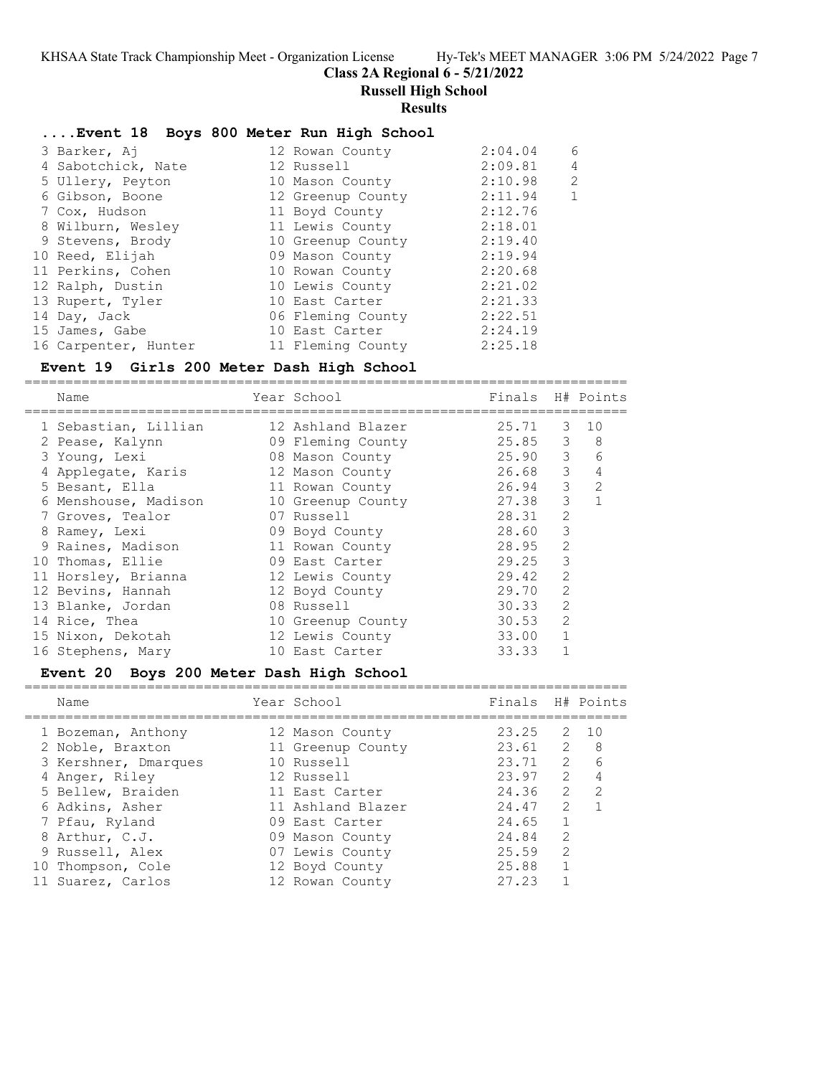### **Class 2A Regional 6 - 5/21/2022**

**Russell High School**

#### **Results**

#### **....Event 18 Boys 800 Meter Run High School**

| 3 Barker, Aj         | 12 Rowan County   | 2:04.04 | 6              |
|----------------------|-------------------|---------|----------------|
| 4 Sabotchick, Nate   | 12 Russell        | 2:09.81 | 4              |
| 5 Ullery, Peyton     | 10 Mason County   | 2:10.98 | $\overline{2}$ |
| 6 Gibson, Boone      | 12 Greenup County | 2:11.94 | 1              |
| 7 Cox, Hudson        | 11 Boyd County    | 2:12.76 |                |
| 8 Wilburn, Wesley    | 11 Lewis County   | 2:18.01 |                |
| 9 Stevens, Brody     | 10 Greenup County | 2:19.40 |                |
| 10 Reed, Elijah      | 09 Mason County   | 2:19.94 |                |
| 11 Perkins, Cohen    | 10 Rowan County   | 2:20.68 |                |
| 12 Ralph, Dustin     | 10 Lewis County   | 2:21.02 |                |
| 13 Rupert, Tyler     | 10 East Carter    | 2:21.33 |                |
| 14 Day, Jack         | 06 Fleming County | 2:22.51 |                |
| 15 James, Gabe       | 10 East Carter    | 2:24.19 |                |
| 16 Carpenter, Hunter | 11 Fleming County | 2:25.18 |                |

# **Event 19 Girls 200 Meter Dash High School**

========================================================================== Name Year School Finals H# Points ========================================================================== 1 Sebastian, Lillian 12 Ashland Blazer 25.71 3 10 2 Pease, Kalynn 09 Fleming County 25.85 3 8 3 Young, Lexi 08 Mason County 25.90 3 6 4 Applegate, Karis 12 Mason County 26.68 3 4 5 Besant, Ella 11 Rowan County 26.94 3 2 6 Menshouse, Madison 10 Greenup County 27.38 3 1 7 Groves, Tealor 07 Russell 28.31 2 8 Ramey, Lexi 09 Boyd County 28.60 3 9 Raines, Madison 11 Rowan County 28.95 2 10 Thomas, Ellie 09 East Carter 29.25 3 11 Horsley, Brianna 12 Lewis County 29.42 2 12 Bevins, Hannah 12 Boyd County 29.70 2 13 Blanke, Jordan 108 Russell 13 Blanke, 30.33 2 14 Rice, Thea 20 20 10 Greenup County 30.53 2 15 Nixon, Dekotah 12 Lewis County 33.00 1 16 Stephens, Mary 10 East Carter 33.33 1

#### **Event 20 Boys 200 Meter Dash High School**

==========================================================================

| Name                 | Year School       | Finals |               | H# Points |
|----------------------|-------------------|--------|---------------|-----------|
| 1 Bozeman, Anthony   | 12 Mason County   | 23.25  | 2             | 10        |
| 2 Noble, Braxton     | 11 Greenup County | 23.61  | 2             | 8         |
| 3 Kershner, Dmarques | 10 Russell        | 23.71  | $2^{\circ}$   | 6         |
| 4 Anger, Riley       | 12 Russell        | 23.97  | $\mathcal{L}$ | 4         |
| 5 Bellew, Braiden    | 11 East Carter    | 24.36  | $\mathcal{L}$ | 2         |
| 6 Adkins, Asher      | 11 Ashland Blazer | 24.47  | 2             |           |
| 7 Pfau, Ryland       | 09 East Carter    | 24.65  |               |           |
| 8 Arthur, C.J.       | 09 Mason County   | 24.84  | $\mathcal{L}$ |           |
| 9 Russell, Alex      | 07 Lewis County   | 25.59  | 2             |           |
| 10 Thompson, Cole    | 12 Boyd County    | 25.88  |               |           |
| 11 Suarez, Carlos    | 12 Rowan County   | 27.23  |               |           |
|                      |                   |        |               |           |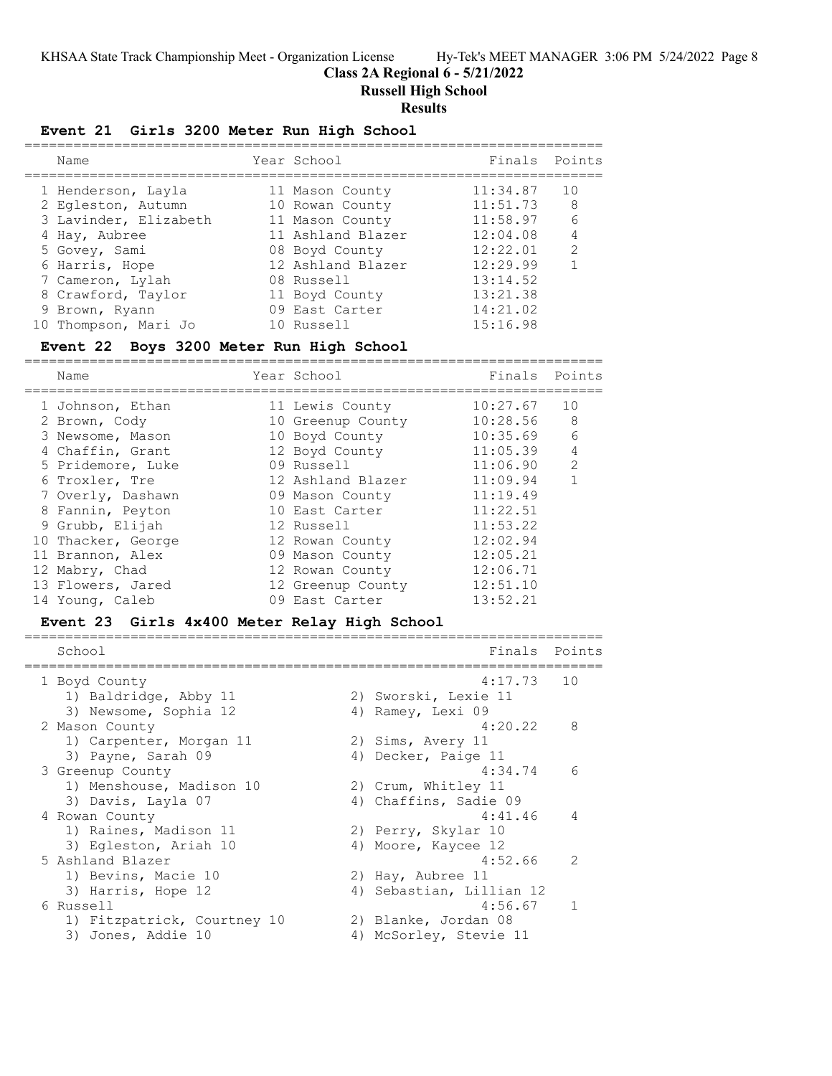**Class 2A Regional 6 - 5/21/2022**

**Russell High School**

# **Results**

# **Event 21 Girls 3200 Meter Run High School**

| Name                                                                               | Year School                                                                | Finals Points                                |                                 |
|------------------------------------------------------------------------------------|----------------------------------------------------------------------------|----------------------------------------------|---------------------------------|
| 1 Henderson, Layla<br>2 Eqleston, Autumn<br>3 Lavinder, Elizabeth<br>4 Hay, Aubree | 11 Mason County<br>10 Rowan County<br>11 Mason County<br>11 Ashland Blazer | 11:34.87<br>11:51.73<br>11:58.97<br>12:04.08 | 10<br>-8<br>6<br>$\overline{4}$ |
| 5 Govey, Sami                                                                      | 08 Boyd County                                                             | 12:22.01                                     | 2                               |
| 6 Harris, Hope                                                                     | 12 Ashland Blazer                                                          | 12:29.99                                     |                                 |
| 7 Cameron, Lylah                                                                   | 08 Russell                                                                 | 13:14.52                                     |                                 |
| 8 Crawford, Taylor                                                                 | 11 Boyd County                                                             | 13:21.38                                     |                                 |
| 9 Brown, Ryann                                                                     | 09 East Carter                                                             | 14:21.02                                     |                                 |
| 10 Thompson, Mari Jo                                                               | 10 Russell                                                                 | 15:16.98                                     |                                 |

# **Event 22 Boys 3200 Meter Run High School**

======================================================================= Name Year School

| 1 Johnson, Ethan   | 11 Lewis County   | 10:27.67 | 10            |
|--------------------|-------------------|----------|---------------|
| 2 Brown, Cody      | 10 Greenup County | 10:28.56 | 8             |
| 3 Newsome, Mason   | 10 Boyd County    | 10:35.69 | 6             |
| 4 Chaffin, Grant   | 12 Boyd County    | 11:05.39 | 4             |
| 5 Pridemore, Luke  | 09 Russell        | 11:06.90 | $\mathcal{L}$ |
| 6 Troxler, Tre     | 12 Ashland Blazer | 11:09.94 |               |
| 7 Overly, Dashawn  | 09 Mason County   | 11:19.49 |               |
| 8 Fannin, Peyton   | 10 East Carter    | 11:22.51 |               |
| 9 Grubb, Elijah    | 12 Russell        | 11:53.22 |               |
| 10 Thacker, George | 12 Rowan County   | 12:02.94 |               |
| 11 Brannon, Alex   | 09 Mason County   | 12:05.21 |               |
| 12 Mabry, Chad     | 12 Rowan County   | 12:06.71 |               |
| 13 Flowers, Jared  | 12 Greenup County | 12:51.10 |               |
| 14 Young, Caleb    | 09 East Carter    | 13:52.21 |               |

### **Event 23 Girls 4x400 Meter Relay High School**

| School                      | Finals                   | Points         |
|-----------------------------|--------------------------|----------------|
| 1 Boyd County               | $4:17.73$ 10             |                |
| 1) Baldridge, Abby 11       | 2) Sworski, Lexie 11     |                |
| 3) Newsome, Sophia 12       | 4) Ramey, Lexi 09        |                |
| 2 Mason County              | 4:20.22                  | 8              |
| 1) Carpenter, Morgan 11     | 2) Sims, Avery 11        |                |
| 3) Payne, Sarah 09          | 4) Decker, Paige 11      |                |
| 3 Greenup County            | 4:34.74                  | 6              |
| 1) Menshouse, Madison 10    | 2) Crum, Whitley 11      |                |
| 3) Davis, Layla 07          | 4) Chaffins, Sadie 09    |                |
| 4 Rowan County              | 4:41.46                  | $\overline{4}$ |
| 1) Raines, Madison 11       | 2) Perry, Skylar 10      |                |
| 3) Eqleston, Ariah 10       | 4) Moore, Kaycee 12      |                |
| 5 Ashland Blazer            | 4:52.66                  | $\mathcal{P}$  |
| 1) Bevins, Macie 10         | 2) Hay, Aubree 11        |                |
| 3) Harris, Hope 12          | 4) Sebastian, Lillian 12 |                |
| 6 Russell                   | 4:56.67                  | $\mathbf{1}$   |
| 1) Fitzpatrick, Courtney 10 | 2) Blanke, Jordan 08     |                |
| 3) Jones, Addie 10          | 4) McSorley, Stevie 11   |                |
|                             |                          |                |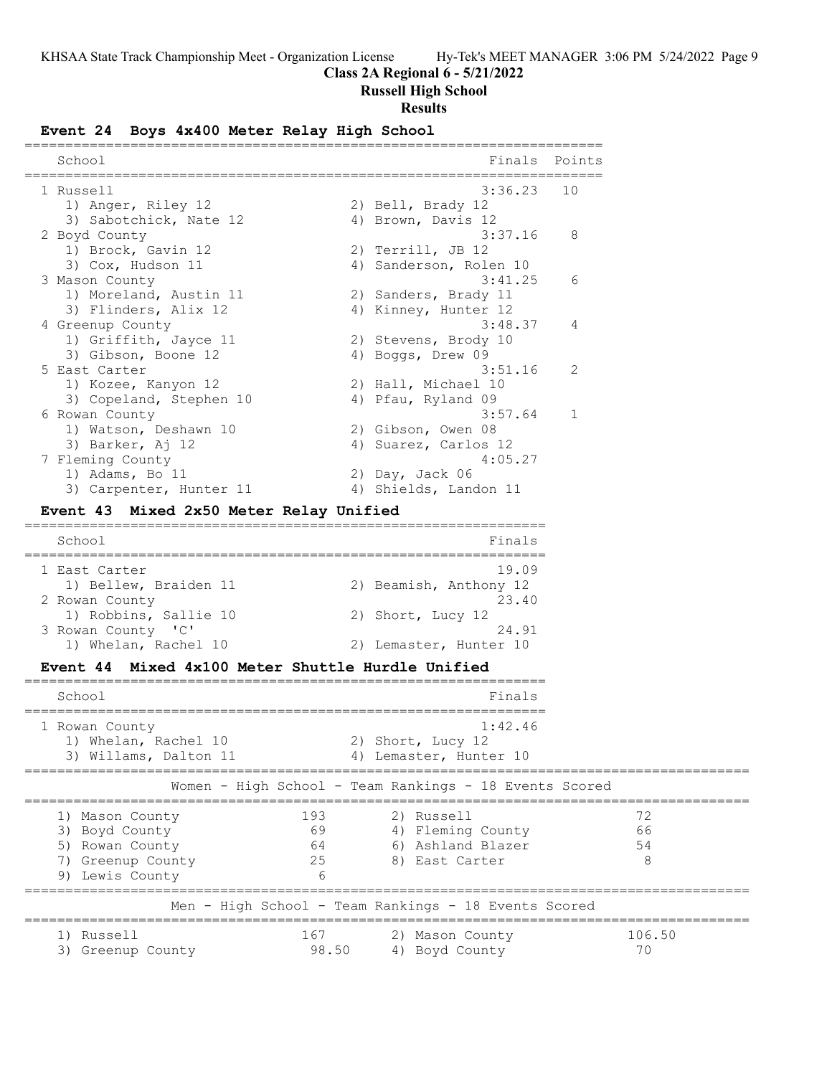# **Class 2A Regional 6 - 5/21/2022**

**Russell High School**

# **Results**

# **Event 24 Boys 4x400 Meter Relay High School**

| School                                                                                                                     | Finals                                                                 | Points              |
|----------------------------------------------------------------------------------------------------------------------------|------------------------------------------------------------------------|---------------------|
| ============================<br>l Russell<br>1) Anger, Riley 12<br>3) Sabotchick, Nate 12                                  | 3:36.23<br>2) Bell, Brady 12<br>4) Brown, Davis 12                     | 10                  |
| 2 Boyd County<br>1) Brock, Gavin 12<br>3) Cox, Hudson 11                                                                   | 3:37.16<br>2) Terrill, JB 12<br>4) Sanderson, Rolen 10                 | 8                   |
| 3 Mason County<br>1) Moreland, Austin 11<br>3) Flinders, Alix 12                                                           | 3:41.25<br>2) Sanders, Brady 11<br>4) Kinney, Hunter 12                | 6                   |
| 4 Greenup County<br>1) Griffith, Jayce 11<br>3) Gibson, Boone 12                                                           | 3:48.37<br>2) Stevens, Brody 10<br>4) Boggs, Drew 09                   | 4                   |
| 5 East Carter<br>1) Kozee, Kanyon 12<br>3) Copeland, Stephen 10                                                            | 3:51.16<br>2) Hall, Michael 10<br>4) Pfau, Ryland 09                   | 2                   |
| 6 Rowan County<br>1) Watson, Deshawn 10<br>3) Barker, Aj 12<br>7 Fleming County                                            | 3:57.64<br>2) Gibson, Owen 08<br>4) Suarez, Carlos 12<br>4:05.27       | 1                   |
| 1) Adams, Bo 11<br>3) Carpenter, Hunter 11<br>Mixed 2x50 Meter Relay Unified<br><b>Event 43</b>                            | 2) Day, Jack 06<br>4) Shields, Landon 11                               |                     |
| School                                                                                                                     | Finals                                                                 |                     |
| 1 East Carter<br>1) Bellew, Braiden 11<br>2 Rowan County                                                                   | 19.09<br>2) Beamish, Anthony 12<br>23.40                               |                     |
| 1) Robbins, Sallie 10<br>3 Rowan County 'C'<br>1) Whelan, Rachel 10                                                        | 2) Short, Lucy 12<br>24.91<br>2) Lemaster, Hunter 10                   |                     |
| Event 44 Mixed 4x100 Meter Shuttle Hurdle Unified<br>======================                                                |                                                                        |                     |
| School<br>=======================                                                                                          | Finals                                                                 |                     |
| 1 Rowan County<br>1) Whelan, Rachel 10<br>3) Willams, Dalton 11                                                            | 1:42.46<br>2) Short, Lucy 12<br>4) Lemaster, Hunter 10                 |                     |
|                                                                                                                            | Women – High School – Team Rankings – 18 Events Scored                 |                     |
| 193<br>1) Mason County<br>69<br>3) Boyd County<br>64<br>5) Rowan County<br>25<br>7) Greenup County<br>9) Lewis County<br>6 | 2) Russell<br>4) Fleming County<br>6) Ashland Blazer<br>8) East Carter | 72<br>66<br>54<br>8 |
|                                                                                                                            | Men - High School - Team Rankings - 18 Events Scored                   |                     |
| 1) Russell<br>167<br>3) Greenup County                                                                                     | 2) Mason County<br>98.50<br>4) Boyd County                             | 106.50<br>70        |